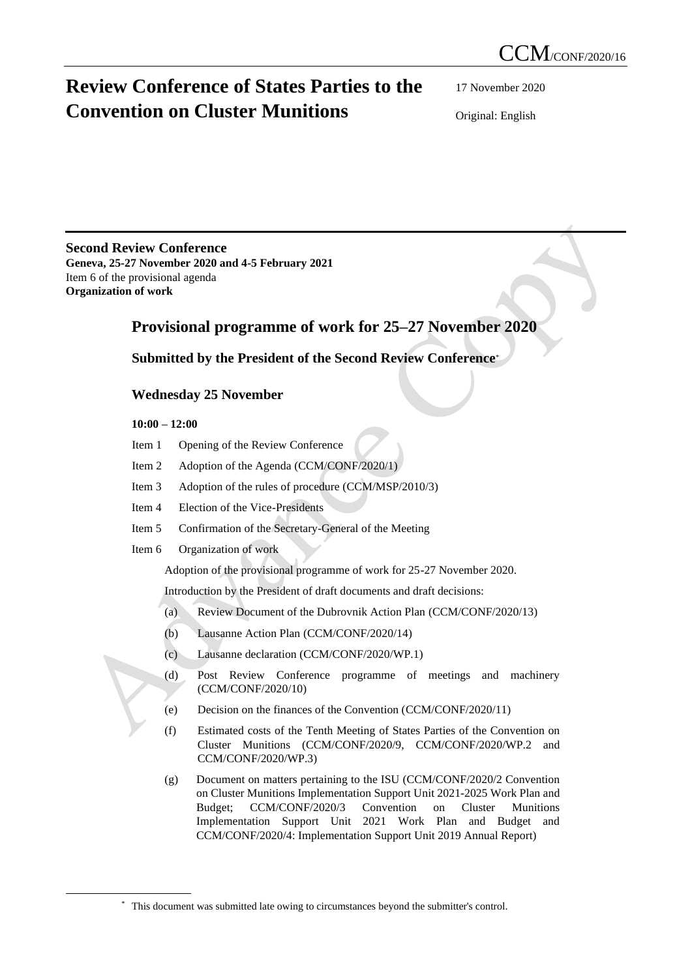# **Review Conference of States Parties to the Convention on Cluster Munitions**

17 November 2020

Original: English

# **Second Review Conference**

**Geneva, 25-27 November 2020 and 4-5 February 2021** Item 6 of the provisional agenda **Organization of work**

# **Provisional programme of work for 25–27 November 2020**

# **Submitted by the President of the Second Review Conference**\*

# **Wednesday 25 November**

## **10:00 – 12:00**

- Item 1 Opening of the Review Conference
- Item 2 Adoption of the Agenda (CCM/CONF/2020/1)
- Item 3 Adoption of the rules of procedure (CCM/MSP/2010/3)
- Item 4 Election of the Vice-Presidents
- Item 5 Confirmation of the Secretary-General of the Meeting
- Item 6 Organization of work

Adoption of the provisional programme of work for 25-27 November 2020.

Introduction by the President of draft documents and draft decisions:

- (a) Review Document of the Dubrovnik Action Plan (CCM/CONF/2020/13)
- (b) Lausanne Action Plan (CCM/CONF/2020/14)
- (c) Lausanne declaration (CCM/CONF/2020/WP.1)
- (d) Post Review Conference programme of meetings and machinery (CCM/CONF/2020/10)
- (e) Decision on the finances of the Convention (CCM/CONF/2020/11)
- (f) Estimated costs of the Tenth Meeting of States Parties of the Convention on Cluster Munitions (CCM/CONF/2020/9, CCM/CONF/2020/WP.2 and CCM/CONF/2020/WP.3)
- (g) Document on matters pertaining to the ISU (CCM/CONF/2020/2 Convention on Cluster Munitions Implementation Support Unit 2021-2025 Work Plan and Budget; CCM/CONF/2020/3 Convention on Cluster Munitions Implementation Support Unit 2021 Work Plan and Budget and CCM/CONF/2020/4: Implementation Support Unit 2019 Annual Report)

<sup>\*</sup> This document was submitted late owing to circumstances beyond the submitter's control.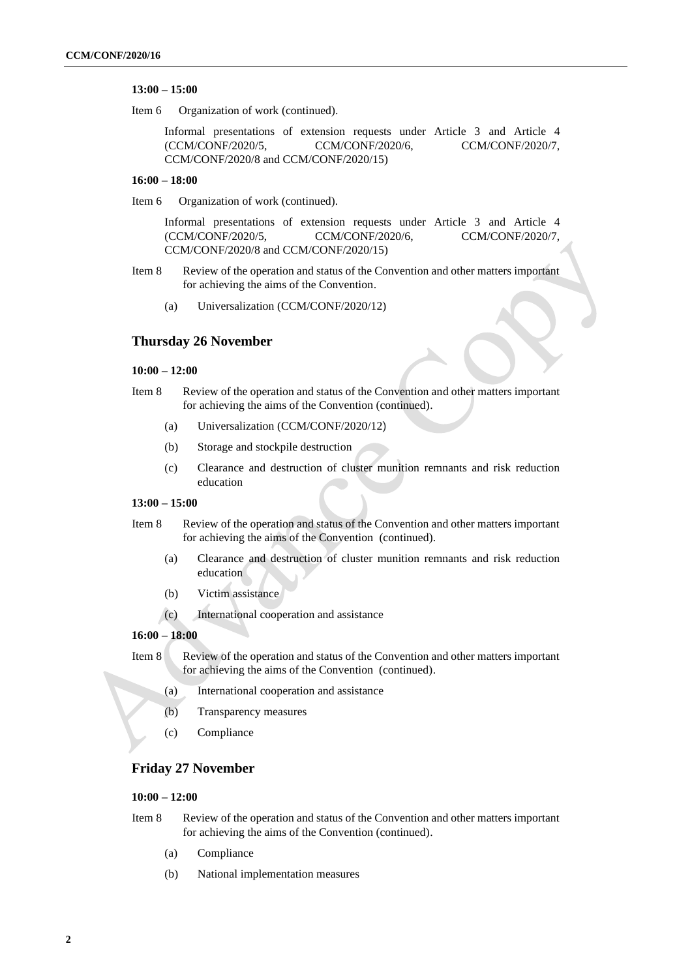#### **13:00 – 15:00**

Item 6 Organization of work (continued).

Informal presentations of extension requests under Article 3 and Article 4 (CCM/CONF/2020/5, CCM/CONF/2020/6, CCM/CONF/2020/7, CCM/CONF/2020/8 and CCM/CONF/2020/15)

#### **16:00 – 18:00**

Item 6 Organization of work (continued).

Informal presentations of extension requests under Article 3 and Article 4 (CCM/CONF/2020/5, CCM/CONF/2020/6, CCM/CONF/2020/7, CCM/CONF/2020/8 and CCM/CONF/2020/15)

- Item 8 Review of the operation and status of the Convention and other matters important for achieving the aims of the Convention.
	- (a) Universalization (CCM/CONF/2020/12)

## **Thursday 26 November**

#### **10:00 – 12:00**

- Item 8 Review of the operation and status of the Convention and other matters important for achieving the aims of the Convention (continued).
	- (a) Universalization (CCM/CONF/2020/12)
	- (b) Storage and stockpile destruction
	- (c) Clearance and destruction of cluster munition remnants and risk reduction education

#### **13:00 – 15:00**

- Item 8 Review of the operation and status of the Convention and other matters important for achieving the aims of the Convention (continued).
	- (a) Clearance and destruction of cluster munition remnants and risk reduction education
	- (b) Victim assistance
	- (c) International cooperation and assistance

#### **16:00 – 18:00**

- Item 8 Review of the operation and status of the Convention and other matters important for achieving the aims of the Convention (continued).
	- (a) International cooperation and assistance
	- (b) Transparency measures
	- (c) Compliance

## **Friday 27 November**

## **10:00 – 12:00**

- Item 8 Review of the operation and status of the Convention and other matters important for achieving the aims of the Convention (continued).
	- (a) Compliance
	- (b) National implementation measures